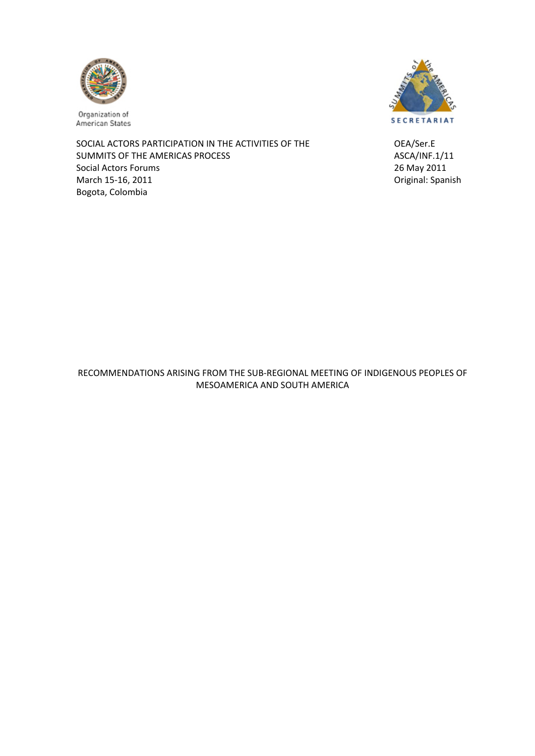

Organization of American States

SOCIAL ACTORS PARTICIPATION IN THE ACTIVITIES OF THE OEA/Ser.E SUMMITS OF THE AMERICAS PROCESS **BEING ASCALLY ASCALLY ASCALLY** ASCALLY ASCALLY ASCALLY ASCALLY AND ASCALLY ASCALLY ASCALLY ASSESSMENT ASSESSMENT ASSESSMENT ASSESSMENT ASSESSMENT ASSESSMENT ASSESSMENT ASSESSMENT ASSESSMENT Social Actors Forums **1999** Social Actors Forums **1999** 2011 March 15‐16, 2011 Original: Spanish Bogota, Colombia



RECOMMENDATIONS ARISING FROM THE SUB‐REGIONAL MEETING OF INDIGENOUS PEOPLES OF MESOAMERICA AND SOUTH AMERICA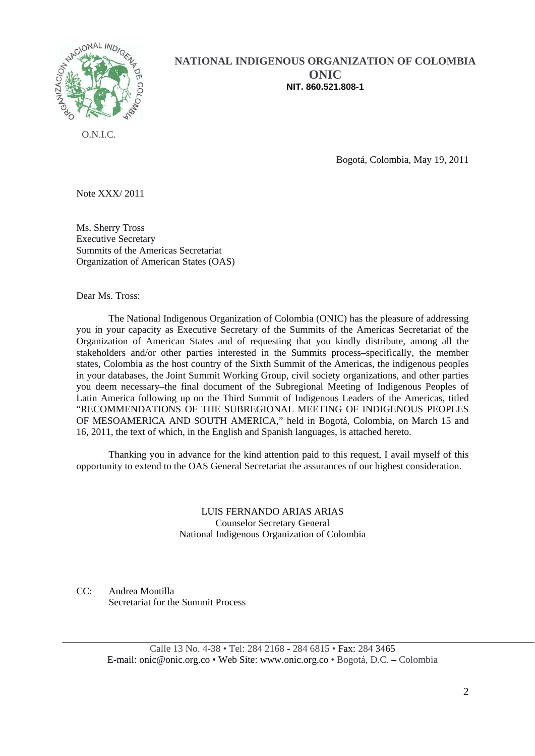

## **NATIONAL INDIGENOUS ORGANIZATION OF COLOMBIA ONIC NIT. 860.521.808-1**

O.N.I.C.

Bogotá, Colombia, May 19, 2011

Note XXX/ 2011

Ms. Sherry Tross Executive Secretary Summits of the Americas Secretariat Organization of American States (OAS)

Dear Ms. Tross:

The National Indigenous Organization of Colombia (ONIC) has the pleasure of addressing you in your capacity as Executive Secretary of the Summits of the Americas Secretariat of the Organization of American States and of requesting that you kindly distribute, among all the stakeholders and/or other parties interested in the Summits process–specifically, the member states, Colombia as the host country of the Sixth Summit of the Americas, the indigenous peoples in your databases, the Joint Summit Working Group, civil society organizations, and other parties you deem necessary–the final document of the Subregional Meeting of Indigenous Peoples of Latin America following up on the Third Summit of Indigenous Leaders of the Americas, titled "RECOMMENDATIONS OF THE SUBREGIONAL MEETING OF INDIGENOUS PEOPLES OF MESOAMERICA AND SOUTH AMERICA," held in Bogotá, Colombia, on March 15 and 16, 2011, the text of which, in the English and Spanish languages, is attached hereto.

Thanking you in advance for the kind attention paid to this request, I avail myself of this opportunity to extend to the OAS General Secretariat the assurances of our highest consideration.

> LUIS FERNANDO ARIAS ARIAS Counselor Secretary General National Indigenous Organization of Colombia

CC: Andrea Montilla Secretariat for the Summit Process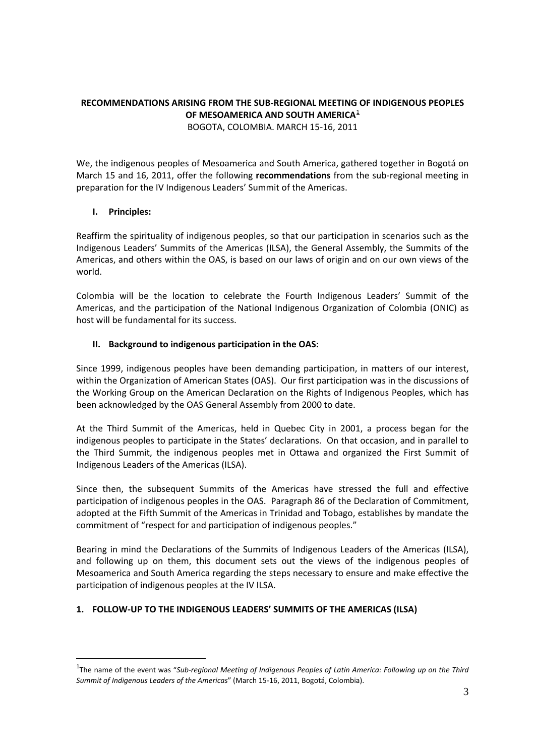# **RECOMMENDATIONS ARISING FROM THE SUB‐REGIONAL MEETING OF INDIGENOUS PEOPLES OF MESOAMERICA AND SOUTH AMERICA**[1](#page-2-0)

BOGOTA, COLOMBIA. MARCH 15‐16, 2011

We, the indigenous peoples of Mesoamerica and South America, gathered together in Bogotá on March 15 and 16, 2011, offer the following **recommendations** from the sub-regional meeting in preparation for the IV Indigenous Leaders' Summit of the Americas.

## **I. Principles:**

 $\overline{a}$ 

Reaffirm the spirituality of indigenous peoples, so that our participation in scenarios such as the Indigenous Leaders' Summits of the Americas (ILSA), the General Assembly, the Summits of the Americas, and others within the OAS, is based on our laws of origin and on our own views of the world.

Colombia will be the location to celebrate the Fourth Indigenous Leaders' Summit of the Americas, and the participation of the National Indigenous Organization of Colombia (ONIC) as host will be fundamental for its success.

## **II. Background to indigenous participation in the OAS:**

Since 1999, indigenous peoples have been demanding participation, in matters of our interest, within the Organization of American States (OAS). Our first participation was in the discussions of the Working Group on the American Declaration on the Rights of Indigenous Peoples, which has been acknowledged by the OAS General Assembly from 2000 to date.

At the Third Summit of the Americas, held in Quebec City in 2001, a process began for the indigenous peoples to participate in the States' declarations. On that occasion, and in parallel to the Third Summit, the indigenous peoples met in Ottawa and organized the First Summit of Indigenous Leaders of the Americas (ILSA).

Since then, the subsequent Summits of the Americas have stressed the full and effective participation of indigenous peoples in the OAS. Paragraph 86 of the Declaration of Commitment, adopted at the Fifth Summit of the Americas in Trinidad and Tobago, establishes by mandate the commitment of "respect for and participation of indigenous peoples."

Bearing in mind the Declarations of the Summits of Indigenous Leaders of the Americas (ILSA), and following up on them, this document sets out the views of the indigenous peoples of Mesoamerica and South America regarding the steps necessary to ensure and make effective the participation of indigenous peoples at the IV ILSA.

## **1. FOLLOW‐UP TO THE INDIGENOUS LEADERS' SUMMITS OF THE AMERICAS (ILSA)**

<span id="page-2-0"></span><sup>1</sup> The name of the event was "*Sub‐regional Meeting of Indigenous Peoples of Latin America: Following up on the Third Summit of Indigenous Leaders of the Americas*" (March 15‐16, 2011, Bogotá, Colombia).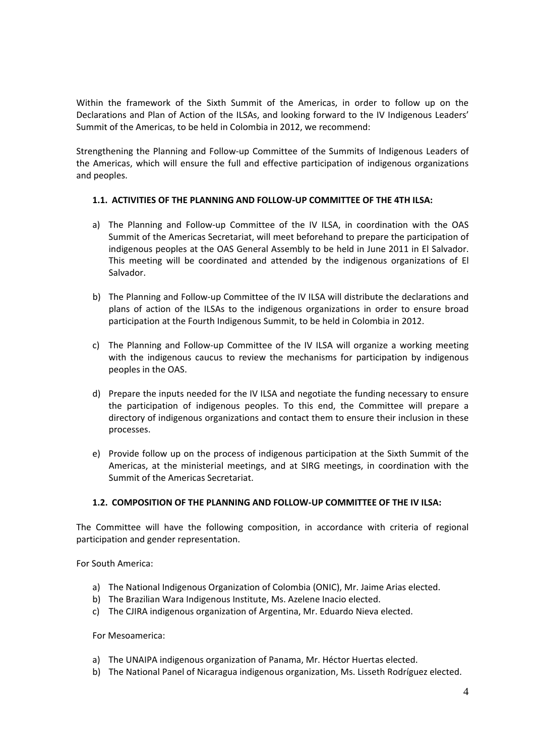Within the framework of the Sixth Summit of the Americas, in order to follow up on the Declarations and Plan of Action of the ILSAs, and looking forward to the IV Indigenous Leaders' Summit of the Americas, to be held in Colombia in 2012, we recommend:

Strengthening the Planning and Follow‐up Committee of the Summits of Indigenous Leaders of the Americas, which will ensure the full and effective participation of indigenous organizations and peoples.

## **1.1. ACTIVITIES OF THE PLANNING AND FOLLOW‐UP COMMITTEE OF THE 4TH ILSA:**

- a) The Planning and Follow-up Committee of the IV ILSA, in coordination with the OAS Summit of the Americas Secretariat, will meet beforehand to prepare the participation of indigenous peoples at the OAS General Assembly to be held in June 2011 in El Salvador. This meeting will be coordinated and attended by the indigenous organizations of El Salvador.
- b) The Planning and Follow‐up Committee of the IV ILSA will distribute the declarations and plans of action of the ILSAs to the indigenous organizations in order to ensure broad participation at the Fourth Indigenous Summit, to be held in Colombia in 2012.
- c) The Planning and Follow‐up Committee of the IV ILSA will organize a working meeting with the indigenous caucus to review the mechanisms for participation by indigenous peoples in the OAS.
- d) Prepare the inputs needed for the IV ILSA and negotiate the funding necessary to ensure the participation of indigenous peoples. To this end, the Committee will prepare a directory of indigenous organizations and contact them to ensure their inclusion in these processes.
- e) Provide follow up on the process of indigenous participation at the Sixth Summit of the Americas, at the ministerial meetings, and at SIRG meetings, in coordination with the Summit of the Americas Secretariat.

#### **1.2. COMPOSITION OF THE PLANNING AND FOLLOW‐UP COMMITTEE OF THE IV ILSA:**

The Committee will have the following composition, in accordance with criteria of regional participation and gender representation.

For South America:

- a) The National Indigenous Organization of Colombia (ONIC), Mr. Jaime Arias elected.
- b) The Brazilian Wara Indigenous Institute, Ms. Azelene Inacio elected.
- c) The CJIRA indigenous organization of Argentina, Mr. Eduardo Nieva elected.

For Mesoamerica:

- a) The UNAIPA indigenous organization of Panama, Mr. Héctor Huertas elected.
- b) The National Panel of Nicaragua indigenous organization, Ms. Lisseth Rodríguez elected.